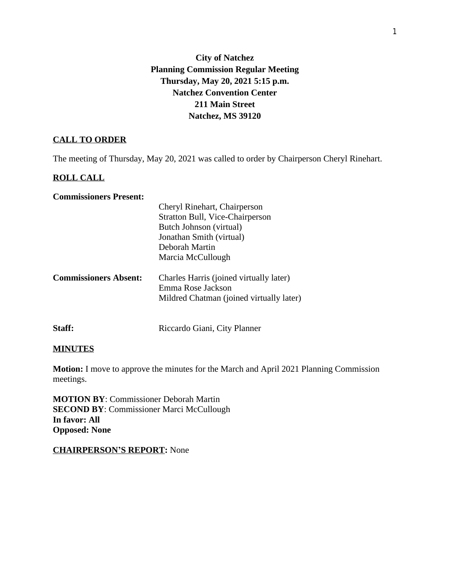## **City of Natchez Planning Commission Regular Meeting Thursday, May 20, 2021 5:15 p.m. Natchez Convention Center 211 Main Street Natchez, MS 39120**

## **CALL TO ORDER**

The meeting of Thursday, May 20, 2021 was called to order by Chairperson Cheryl Rinehart.

## **ROLL CALL**

#### **Commissioners Present:**

|                              | Stratton Bull, Vice-Chairperson                              |
|------------------------------|--------------------------------------------------------------|
|                              | Butch Johnson (virtual)                                      |
|                              | Jonathan Smith (virtual)                                     |
|                              | Deborah Martin                                               |
|                              | Marcia McCullough                                            |
| <b>Commissioners Absent:</b> | Charles Harris (joined virtually later)<br>Emma Rose Jackson |
|                              | Mildred Chatman (joined virtually later)                     |

# **Staff:** Riccardo Giani, City Planner

## **MINUTES**

**Motion:** I move to approve the minutes for the March and April 2021 Planning Commission meetings.

**MOTION BY**: Commissioner Deborah Martin **SECOND BY: Commissioner Marci McCullough In favor: All Opposed: None**

#### **CHAIRPERSON'S REPORT:** None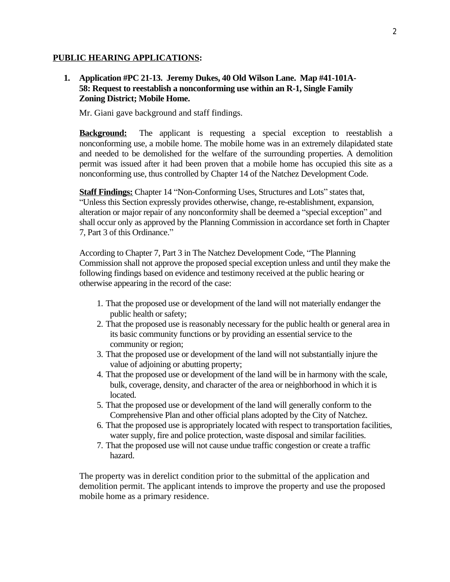#### **PUBLIC HEARING APPLICATIONS:**

## **1. Application #PC 21-13. Jeremy Dukes, 40 Old Wilson Lane. Map #41-101A-58: Request to reestablish a nonconforming use within an R-1, Single Family Zoning District; Mobile Home.**

Mr. Giani gave background and staff findings.

**Background:** The applicant is requesting a special exception to reestablish a nonconforming use, a mobile home. The mobile home was in an extremely dilapidated state and needed to be demolished for the welfare of the surrounding properties. A demolition permit was issued after it had been proven that a mobile home has occupied this site as a nonconforming use, thus controlled by Chapter 14 of the Natchez Development Code.

**Staff Findings:** Chapter 14 "Non-Conforming Uses, Structures and Lots" states that, "Unless this Section expressly provides otherwise, change, re-establishment, expansion, alteration or major repair of any nonconformity shall be deemed a "special exception" and shall occur only as approved by the Planning Commission in accordance set forth in Chapter 7, Part 3 of this Ordinance."

According to Chapter 7, Part 3 in The Natchez Development Code, "The Planning Commission shall not approve the proposed special exception unless and until they make the following findings based on evidence and testimony received at the public hearing or otherwise appearing in the record of the case:

- 1. That the proposed use or development of the land will not materially endanger the public health or safety;
- 2. That the proposed use is reasonably necessary for the public health or general area in its basic community functions or by providing an essential service to the community or region;
- 3. That the proposed use or development of the land will not substantially injure the value of adjoining or abutting property;
- 4. That the proposed use or development of the land will be in harmony with the scale, bulk, coverage, density, and character of the area or neighborhood in which it is located.
- 5. That the proposed use or development of the land will generally conform to the Comprehensive Plan and other official plans adopted by the City of Natchez.
- 6. That the proposed use is appropriately located with respect to transportation facilities, water supply, fire and police protection, waste disposal and similar facilities.
- 7. That the proposed use will not cause undue traffic congestion or create a traffic hazard.

The property was in derelict condition prior to the submittal of the application and demolition permit. The applicant intends to improve the property and use the proposed mobile home as a primary residence.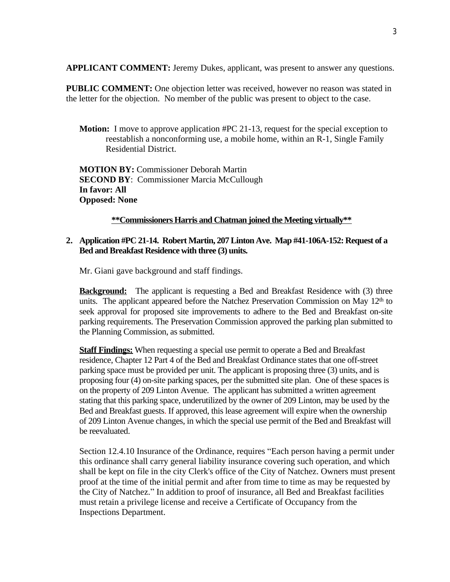**APPLICANT COMMENT:** Jeremy Dukes, applicant, was present to answer any questions.

**PUBLIC COMMENT:** One objection letter was received, however no reason was stated in the letter for the objection. No member of the public was present to object to the case.

**Motion:** I move to approve application #PC 21-13, request for the special exception to reestablish a nonconforming use, a mobile home, within an R-1, Single Family Residential District.

**MOTION BY:** Commissioner Deborah Martin **SECOND BY: Commissioner Marcia McCullough In favor: All Opposed: None**

#### **\*\*Commissioners Harris and Chatman joined the Meeting virtually\*\***

## **2. Application #PC 21-14. Robert Martin, 207Linton Ave. Map #41-106A-152: Request of a Bed and Breakfast Residence with three (3) units.**

Mr. Giani gave background and staff findings.

**Background:** The applicant is requesting a Bed and Breakfast Residence with (3) three units. The applicant appeared before the Natchez Preservation Commission on May 12<sup>th</sup> to seek approval for proposed site improvements to adhere to the Bed and Breakfast on-site parking requirements. The Preservation Commission approved the parking plan submitted to the Planning Commission, as submitted.

**Staff Findings:** When requesting a special use permit to operate a Bed and Breakfast residence, Chapter 12 Part 4 of the Bed and Breakfast Ordinance states that one off-street parking space must be provided per unit. The applicant is proposing three (3) units, and is proposing four (4) on-site parking spaces, per the submitted site plan. One of these spaces is on the property of 209 Linton Avenue. The applicant has submitted a written agreement stating that this parking space, underutilized by the owner of 209 Linton, may be used by the Bed and Breakfast guests. If approved, this lease agreement will expire when the ownership of 209 Linton Avenue changes, in which the special use permit of the Bed and Breakfast will be reevaluated.

Section 12.4.10 Insurance of the Ordinance, requires "Each person having a permit under this ordinance shall carry general liability insurance covering such operation, and which shall be kept on file in the city Clerk's office of the City of Natchez. Owners must present proof at the time of the initial permit and after from time to time as may be requested by the City of Natchez." In addition to proof of insurance, all Bed and Breakfast facilities must retain a privilege license and receive a Certificate of Occupancy from the Inspections Department.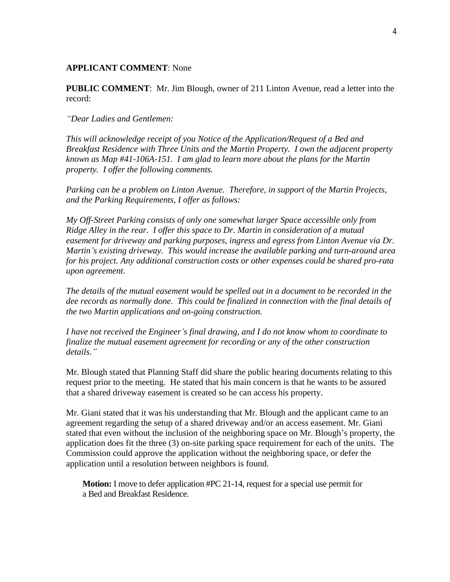#### **APPLICANT COMMENT**: None

**PUBLIC COMMENT**: Mr. Jim Blough, owner of 211 Linton Avenue, read a letter into the record:

#### *"Dear Ladies and Gentlemen:*

*This will acknowledge receipt of you Notice of the Application/Request of a Bed and Breakfast Residence with Three Units and the Martin Property. I own the adjacent property known as Map #41-106A-151. I am glad to learn more about the plans for the Martin property. I offer the following comments.* 

*Parking can be a problem on Linton Avenue. Therefore, in support of the Martin Projects, and the Parking Requirements, I offer as follows:*

*My Off-Street Parking consists of only one somewhat larger Space accessible only from Ridge Alley in the rear. I offer this space to Dr. Martin in consideration of a mutual easement for driveway and parking purposes, ingress and egress from Linton Avenue via Dr. Martin's existing driveway. This would increase the available parking and turn-around area for his project. Any additional construction costs or other expenses could be shared pro-rata upon agreement.* 

*The details of the mutual easement would be spelled out in a document to be recorded in the dee records as normally done. This could be finalized in connection with the final details of the two Martin applications and on-going construction.* 

*I have not received the Engineer's final drawing, and I do not know whom to coordinate to finalize the mutual easement agreement for recording or any of the other construction details."*

Mr. Blough stated that Planning Staff did share the public hearing documents relating to this request prior to the meeting. He stated that his main concern is that he wants to be assured that a shared driveway easement is created so he can access his property.

Mr. Giani stated that it was his understanding that Mr. Blough and the applicant came to an agreement regarding the setup of a shared driveway and/or an access easement. Mr. Giani stated that even without the inclusion of the neighboring space on Mr. Blough's property, the application does fit the three (3) on-site parking space requirement for each of the units. The Commission could approve the application without the neighboring space, or defer the application until a resolution between neighbors is found.

**Motion:** I move to defer application #PC 21-14, request for a special use permit for a Bed and Breakfast Residence.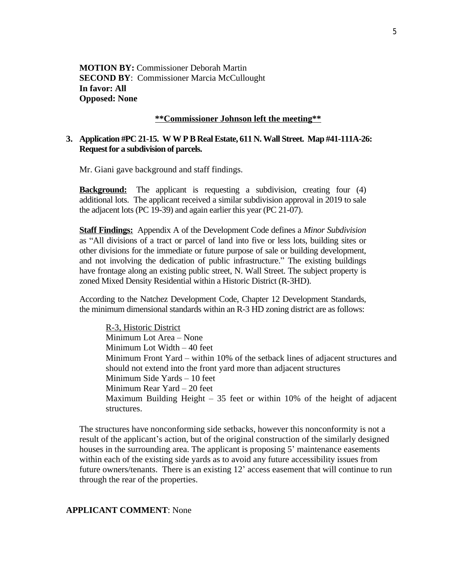**MOTION BY:** Commissioner Deborah Martin **SECOND BY: Commissioner Marcia McCullought In favor: All Opposed: None**

#### **\*\*Commissioner Johnson left the meeting\*\***

## **3. Application #PC 21-15. WWPB RealEstate, 611 N. Wall Street. Map #41-111A-26: Request for a subdivision of parcels.**

Mr. Giani gave background and staff findings.

**Background:** The applicant is requesting a subdivision, creating four (4) additional lots. The applicant received a similar subdivision approval in 2019 to sale the adjacent lots (PC 19-39) and again earlier this year (PC 21-07).

**Staff Findings:** Appendix A of the Development Code defines a *Minor Subdivision* as "All divisions of a tract or parcel of land into five or less lots, building sites or other divisions for the immediate or future purpose of sale or building development, and not involving the dedication of public infrastructure." The existing buildings have frontage along an existing public street, N. Wall Street. The subject property is zoned Mixed Density Residential within a Historic District (R-3HD).

According to the Natchez Development Code, Chapter 12 Development Standards, the minimum dimensional standards within an R-3 HD zoning district are as follows:

R-3, Historic District Minimum Lot Area – None Minimum Lot Width – 40 feet Minimum Front Yard – within 10% of the setback lines of adjacent structures and should not extend into the front yard more than adjacent structures Minimum Side Yards – 10 feet Minimum Rear Yard – 20 feet Maximum Building Height – 35 feet or within 10% of the height of adjacent structures.

The structures have nonconforming side setbacks, however this nonconformity is not a result of the applicant's action, but of the original construction of the similarly designed houses in the surrounding area. The applicant is proposing 5' maintenance easements within each of the existing side yards as to avoid any future accessibility issues from future owners/tenants. There is an existing 12' access easement that will continue to run through the rear of the properties.

#### **APPLICANT COMMENT**: None